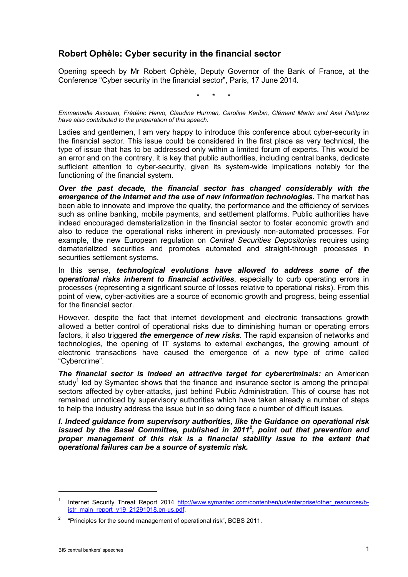## **Robert Ophèle: Cyber security in the financial sector**

Opening speech by Mr Robert Ophèle, Deputy Governor of the Bank of France, at the Conference "Cyber security in the financial sector", Paris, 17 June 2014.

\* \* \*

*Emmanuelle Assouan, Frédéric Hervo, Claudine Hurman, Caroline Keribin, Clément Martin and Axel Petitprez have also contributed to the preparation of this speech.*

Ladies and gentlemen, I am very happy to introduce this conference about cyber-security in the financial sector. This issue could be considered in the first place as very technical, the type of issue that has to be addressed only within a limited forum of experts. This would be an error and on the contrary, it is key that public authorities, including central banks, dedicate sufficient attention to cyber-security, given its system-wide implications notably for the functioning of the financial system.

*Over the past decade, the financial sector has changed considerably with the emergence of the Internet and the use of new information technologies.* **The market has** been able to innovate and improve the quality, the performance and the efficiency of services such as online banking, mobile payments, and settlement platforms. Public authorities have indeed encouraged dematerialization in the financial sector to foster economic growth and also to reduce the operational risks inherent in previously non-automated processes. For example, the new European regulation on *Central Securities Depositories* requires using dematerialized securities and promotes automated and straight-through processes in securities settlement systems.

In this sense, *technological evolutions have allowed to address some of the operational risks inherent to financial activities*, especially to curb operating errors in processes (representing a significant source of losses relative to operational risks). From this point of view, cyber-activities are a source of economic growth and progress, being essential for the financial sector.

However, despite the fact that internet development and electronic transactions growth allowed a better control of operational risks due to diminishing human or operating errors factors, it also triggered *the emergence of new risks*. The rapid expansion of networks and technologies, the opening of IT systems to external exchanges, the growing amount of electronic transactions have caused the emergence of a new type of crime called "Cybercrime".

*The financial sector is indeed an attractive target for cybercriminals:* an American study<sup>1</sup> led by Symantec shows that the finance and insurance sector is among the principal sectors affected by cyber-attacks, just behind Public Administration. This of course has not remained unnoticed by supervisory authorities which have taken already a number of steps to help the industry address the issue but in so doing face a number of difficult issues.

*I. Indeed guidance from supervisory authorities, like the Guidance on operational risk*  issued by the Basel Committee, published in 2011<sup>2</sup>, point out that prevention and *proper management of this risk is a financial stability issue to the extent that operational failures can be a source of systemic risk.*

-

<sup>&</sup>lt;sup>1</sup> Internet Security Threat Report 2014 [http://www.symantec.com/content/en/us/enterprise/other\\_resources/b](http://www.symantec.com/content/en/us/enterprise/other_resources/b-istr_main_report_v19_21291018.en-us.pdf)[istr\\_main\\_report\\_v19\\_21291018.en-us.pdf.](http://www.symantec.com/content/en/us/enterprise/other_resources/b-istr_main_report_v19_21291018.en-us.pdf)

<sup>2</sup> "Principles for the sound management of operational risk", BCBS 2011.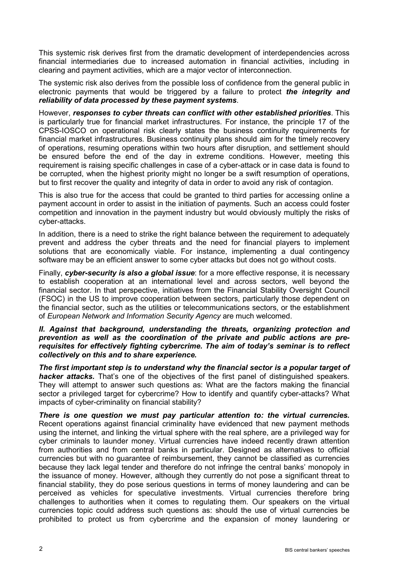This systemic risk derives first from the dramatic development of interdependencies across financial intermediaries due to increased automation in financial activities, including in clearing and payment activities, which are a major vector of interconnection.

The systemic risk also derives from the possible loss of confidence from the general public in electronic payments that would be triggered by a failure to protect *the integrity and reliability of data processed by these payment systems*.

However, *responses to cyber threats can conflict with other established priorities*. This is particularly true for financial market infrastructures. For instance, the principle 17 of the CPSS-IOSCO on operational risk clearly states the business continuity requirements for financial market infrastructures. Business continuity plans should aim for the timely recovery of operations, resuming operations within two hours after disruption, and settlement should be ensured before the end of the day in extreme conditions. However, meeting this requirement is raising specific challenges in case of a cyber-attack or in case data is found to be corrupted, when the highest priority might no longer be a swift resumption of operations, but to first recover the quality and integrity of data in order to avoid any risk of contagion.

This is also true for the access that could be granted to third parties for accessing online a payment account in order to assist in the initiation of payments. Such an access could foster competition and innovation in the payment industry but would obviously multiply the risks of cyber-attacks.

In addition, there is a need to strike the right balance between the requirement to adequately prevent and address the cyber threats and the need for financial players to implement solutions that are economically viable. For instance, implementing a dual contingency software may be an efficient answer to some cyber attacks but does not go without costs.

Finally, *cyber-security is also a global issue*: for a more effective response, it is necessary to establish cooperation at an international level and across sectors, well beyond the financial sector. In that perspective, initiatives from the Financial Stability Oversight Council (FSOC) in the US to improve cooperation between sectors, particularly those dependent on the financial sector, such as the utilities or telecommunications sectors, or the establishment of *European Network and Information Security Agency* are much welcomed.

## *II. Against that background, understanding the threats, organizing protection and prevention as well as the coordination of the private and public actions are prerequisites for effectively fighting cybercrime. The aim of today's seminar is to reflect collectively on this and to share experience.*

*The first important step is to understand why the financial sector is a popular target of hacker attacks.* That's one of the objectives of the first panel of distinguished speakers. They will attempt to answer such questions as: What are the factors making the financial sector a privileged target for cybercrime? How to identify and quantify cyber-attacks? What impacts of cyber-criminality on financial stability?

*There is one question we must pay particular attention to: the virtual currencies.* Recent operations against financial criminality have evidenced that new payment methods using the internet, and linking the virtual sphere with the real sphere, are a privileged way for cyber criminals to launder money. Virtual currencies have indeed recently drawn attention from authorities and from central banks in particular. Designed as alternatives to official currencies but with no guarantee of reimbursement, they cannot be classified as currencies because they lack legal tender and therefore do not infringe the central banks' monopoly in the issuance of money. However, although they currently do not pose a significant threat to financial stability, they do pose serious questions in terms of money laundering and can be perceived as vehicles for speculative investments. Virtual currencies therefore bring challenges to authorities when it comes to regulating them. Our speakers on the virtual currencies topic could address such questions as: should the use of virtual currencies be prohibited to protect us from cybercrime and the expansion of money laundering or